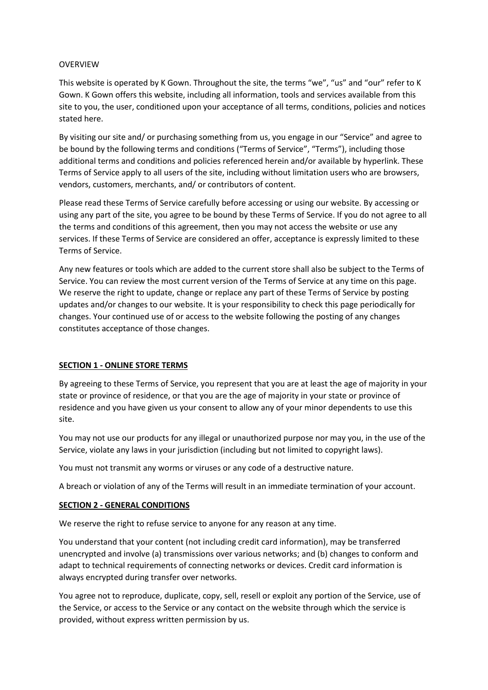#### OVERVIEW

This website is operated by K Gown. Throughout the site, the terms "we", "us" and "our" refer to K Gown. K Gown offers this website, including all information, tools and services available from this site to you, the user, conditioned upon your acceptance of all terms, conditions, policies and notices stated here.

By visiting our site and/ or purchasing something from us, you engage in our "Service" and agree to be bound by the following terms and conditions ("Terms of Service", "Terms"), including those additional terms and conditions and policies referenced herein and/or available by hyperlink. These Terms of Service apply to all users of the site, including without limitation users who are browsers, vendors, customers, merchants, and/ or contributors of content.

Please read these Terms of Service carefully before accessing or using our website. By accessing or using any part of the site, you agree to be bound by these Terms of Service. If you do not agree to all the terms and conditions of this agreement, then you may not access the website or use any services. If these Terms of Service are considered an offer, acceptance is expressly limited to these Terms of Service.

Any new features or tools which are added to the current store shall also be subject to the Terms of Service. You can review the most current version of the Terms of Service at any time on this page. We reserve the right to update, change or replace any part of these Terms of Service by posting updates and/or changes to our website. It is your responsibility to check this page periodically for changes. Your continued use of or access to the website following the posting of any changes constitutes acceptance of those changes.

#### **SECTION 1 - ONLINE STORE TERMS**

By agreeing to these Terms of Service, you represent that you are at least the age of majority in your state or province of residence, or that you are the age of majority in your state or province of residence and you have given us your consent to allow any of your minor dependents to use this site.

You may not use our products for any illegal or unauthorized purpose nor may you, in the use of the Service, violate any laws in your jurisdiction (including but not limited to copyright laws).

You must not transmit any worms or viruses or any code of a destructive nature.

A breach or violation of any of the Terms will result in an immediate termination of your account.

#### **SECTION 2 - GENERAL CONDITIONS**

We reserve the right to refuse service to anyone for any reason at any time.

You understand that your content (not including credit card information), may be transferred unencrypted and involve (a) transmissions over various networks; and (b) changes to conform and adapt to technical requirements of connecting networks or devices. Credit card information is always encrypted during transfer over networks.

You agree not to reproduce, duplicate, copy, sell, resell or exploit any portion of the Service, use of the Service, or access to the Service or any contact on the website through which the service is provided, without express written permission by us.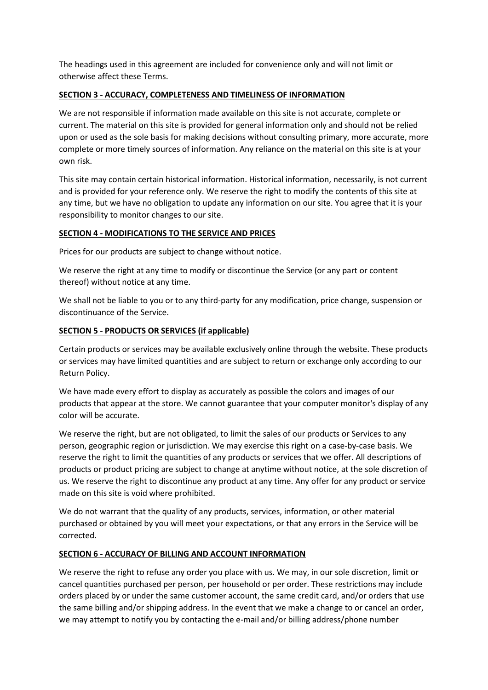The headings used in this agreement are included for convenience only and will not limit or otherwise affect these Terms.

## **SECTION 3 - ACCURACY, COMPLETENESS AND TIMELINESS OF INFORMATION**

We are not responsible if information made available on this site is not accurate, complete or current. The material on this site is provided for general information only and should not be relied upon or used as the sole basis for making decisions without consulting primary, more accurate, more complete or more timely sources of information. Any reliance on the material on this site is at your own risk.

This site may contain certain historical information. Historical information, necessarily, is not current and is provided for your reference only. We reserve the right to modify the contents of this site at any time, but we have no obligation to update any information on our site. You agree that it is your responsibility to monitor changes to our site.

## **SECTION 4 - MODIFICATIONS TO THE SERVICE AND PRICES**

Prices for our products are subject to change without notice.

We reserve the right at any time to modify or discontinue the Service (or any part or content thereof) without notice at any time.

We shall not be liable to you or to any third-party for any modification, price change, suspension or discontinuance of the Service.

## **SECTION 5 - PRODUCTS OR SERVICES (if applicable)**

Certain products or services may be available exclusively online through the website. These products or services may have limited quantities and are subject to return or exchange only according to our Return Policy.

We have made every effort to display as accurately as possible the colors and images of our products that appear at the store. We cannot guarantee that your computer monitor's display of any color will be accurate.

We reserve the right, but are not obligated, to limit the sales of our products or Services to any person, geographic region or jurisdiction. We may exercise this right on a case-by-case basis. We reserve the right to limit the quantities of any products or services that we offer. All descriptions of products or product pricing are subject to change at anytime without notice, at the sole discretion of us. We reserve the right to discontinue any product at any time. Any offer for any product or service made on this site is void where prohibited.

We do not warrant that the quality of any products, services, information, or other material purchased or obtained by you will meet your expectations, or that any errors in the Service will be corrected.

#### **SECTION 6 - ACCURACY OF BILLING AND ACCOUNT INFORMATION**

We reserve the right to refuse any order you place with us. We may, in our sole discretion, limit or cancel quantities purchased per person, per household or per order. These restrictions may include orders placed by or under the same customer account, the same credit card, and/or orders that use the same billing and/or shipping address. In the event that we make a change to or cancel an order, we may attempt to notify you by contacting the e-mail and/or billing address/phone number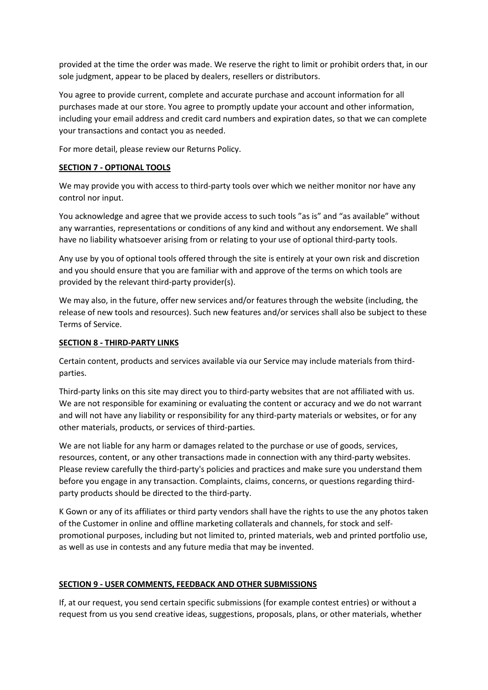provided at the time the order was made. We reserve the right to limit or prohibit orders that, in our sole judgment, appear to be placed by dealers, resellers or distributors.

You agree to provide current, complete and accurate purchase and account information for all purchases made at our store. You agree to promptly update your account and other information, including your email address and credit card numbers and expiration dates, so that we can complete your transactions and contact you as needed.

For more detail, please review our Returns Policy.

### **SECTION 7 - OPTIONAL TOOLS**

We may provide you with access to third-party tools over which we neither monitor nor have any control nor input.

You acknowledge and agree that we provide access to such tools "as is" and "as available" without any warranties, representations or conditions of any kind and without any endorsement. We shall have no liability whatsoever arising from or relating to your use of optional third-party tools.

Any use by you of optional tools offered through the site is entirely at your own risk and discretion and you should ensure that you are familiar with and approve of the terms on which tools are provided by the relevant third-party provider(s).

We may also, in the future, offer new services and/or features through the website (including, the release of new tools and resources). Such new features and/or services shall also be subject to these Terms of Service.

#### **SECTION 8 - THIRD-PARTY LINKS**

Certain content, products and services available via our Service may include materials from thirdparties.

Third-party links on this site may direct you to third-party websites that are not affiliated with us. We are not responsible for examining or evaluating the content or accuracy and we do not warrant and will not have any liability or responsibility for any third-party materials or websites, or for any other materials, products, or services of third-parties.

We are not liable for any harm or damages related to the purchase or use of goods, services, resources, content, or any other transactions made in connection with any third-party websites. Please review carefully the third-party's policies and practices and make sure you understand them before you engage in any transaction. Complaints, claims, concerns, or questions regarding thirdparty products should be directed to the third-party.

K Gown or any of its affiliates or third party vendors shall have the rights to use the any photos taken of the Customer in online and offline marketing collaterals and channels, for stock and selfpromotional purposes, including but not limited to, printed materials, web and printed portfolio use, as well as use in contests and any future media that may be invented.

#### **SECTION 9 - USER COMMENTS, FEEDBACK AND OTHER SUBMISSIONS**

If, at our request, you send certain specific submissions (for example contest entries) or without a request from us you send creative ideas, suggestions, proposals, plans, or other materials, whether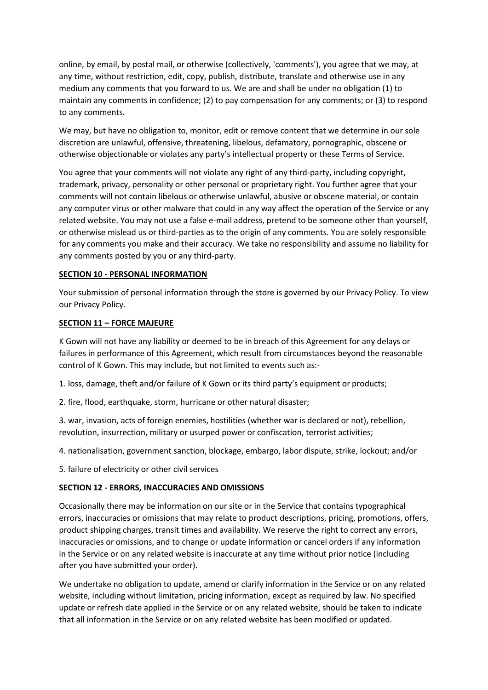online, by email, by postal mail, or otherwise (collectively, 'comments'), you agree that we may, at any time, without restriction, edit, copy, publish, distribute, translate and otherwise use in any medium any comments that you forward to us. We are and shall be under no obligation (1) to maintain any comments in confidence; (2) to pay compensation for any comments; or (3) to respond to any comments.

We may, but have no obligation to, monitor, edit or remove content that we determine in our sole discretion are unlawful, offensive, threatening, libelous, defamatory, pornographic, obscene or otherwise objectionable or violates any party's intellectual property or these Terms of Service.

You agree that your comments will not violate any right of any third-party, including copyright, trademark, privacy, personality or other personal or proprietary right. You further agree that your comments will not contain libelous or otherwise unlawful, abusive or obscene material, or contain any computer virus or other malware that could in any way affect the operation of the Service or any related website. You may not use a false e-mail address, pretend to be someone other than yourself, or otherwise mislead us or third-parties as to the origin of any comments. You are solely responsible for any comments you make and their accuracy. We take no responsibility and assume no liability for any comments posted by you or any third-party.

## **SECTION 10 - PERSONAL INFORMATION**

Your submission of personal information through the store is governed by our Privacy Policy. To view our Privacy Policy.

#### **SECTION 11 – FORCE MAJEURE**

K Gown will not have any liability or deemed to be in breach of this Agreement for any delays or failures in performance of this Agreement, which result from circumstances beyond the reasonable control of K Gown. This may include, but not limited to events such as:-

1. loss, damage, theft and/or failure of K Gown or its third party's equipment or products;

2. fire, flood, earthquake, storm, hurricane or other natural disaster;

3. war, invasion, acts of foreign enemies, hostilities (whether war is declared or not), rebellion, revolution, insurrection, military or usurped power or confiscation, terrorist activities;

4. nationalisation, government sanction, blockage, embargo, labor dispute, strike, lockout; and/or

5. failure of electricity or other civil services

#### **SECTION 12 - ERRORS, INACCURACIES AND OMISSIONS**

Occasionally there may be information on our site or in the Service that contains typographical errors, inaccuracies or omissions that may relate to product descriptions, pricing, promotions, offers, product shipping charges, transit times and availability. We reserve the right to correct any errors, inaccuracies or omissions, and to change or update information or cancel orders if any information in the Service or on any related website is inaccurate at any time without prior notice (including after you have submitted your order).

We undertake no obligation to update, amend or clarify information in the Service or on any related website, including without limitation, pricing information, except as required by law. No specified update or refresh date applied in the Service or on any related website, should be taken to indicate that all information in the Service or on any related website has been modified or updated.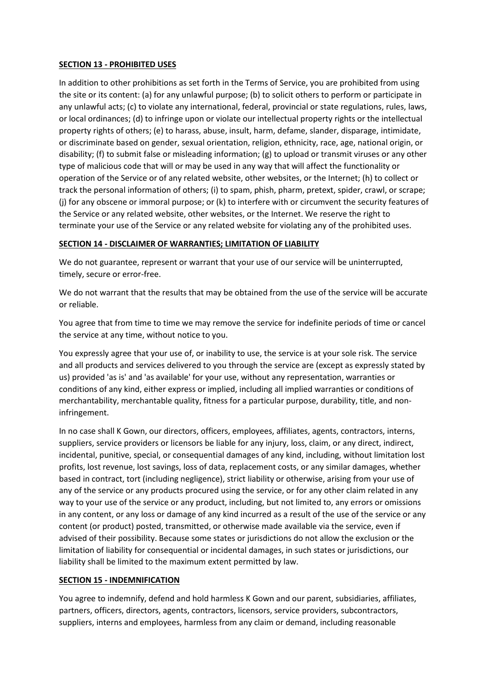#### **SECTION 13 - PROHIBITED USES**

In addition to other prohibitions as set forth in the Terms of Service, you are prohibited from using the site or its content: (a) for any unlawful purpose; (b) to solicit others to perform or participate in any unlawful acts; (c) to violate any international, federal, provincial or state regulations, rules, laws, or local ordinances; (d) to infringe upon or violate our intellectual property rights or the intellectual property rights of others; (e) to harass, abuse, insult, harm, defame, slander, disparage, intimidate, or discriminate based on gender, sexual orientation, religion, ethnicity, race, age, national origin, or disability; (f) to submit false or misleading information; (g) to upload or transmit viruses or any other type of malicious code that will or may be used in any way that will affect the functionality or operation of the Service or of any related website, other websites, or the Internet; (h) to collect or track the personal information of others; (i) to spam, phish, pharm, pretext, spider, crawl, or scrape; (j) for any obscene or immoral purpose; or (k) to interfere with or circumvent the security features of the Service or any related website, other websites, or the Internet. We reserve the right to terminate your use of the Service or any related website for violating any of the prohibited uses.

## **SECTION 14 - DISCLAIMER OF WARRANTIES; LIMITATION OF LIABILITY**

We do not guarantee, represent or warrant that your use of our service will be uninterrupted, timely, secure or error-free.

We do not warrant that the results that may be obtained from the use of the service will be accurate or reliable.

You agree that from time to time we may remove the service for indefinite periods of time or cancel the service at any time, without notice to you.

You expressly agree that your use of, or inability to use, the service is at your sole risk. The service and all products and services delivered to you through the service are (except as expressly stated by us) provided 'as is' and 'as available' for your use, without any representation, warranties or conditions of any kind, either express or implied, including all implied warranties or conditions of merchantability, merchantable quality, fitness for a particular purpose, durability, title, and noninfringement.

In no case shall K Gown, our directors, officers, employees, affiliates, agents, contractors, interns, suppliers, service providers or licensors be liable for any injury, loss, claim, or any direct, indirect, incidental, punitive, special, or consequential damages of any kind, including, without limitation lost profits, lost revenue, lost savings, loss of data, replacement costs, or any similar damages, whether based in contract, tort (including negligence), strict liability or otherwise, arising from your use of any of the service or any products procured using the service, or for any other claim related in any way to your use of the service or any product, including, but not limited to, any errors or omissions in any content, or any loss or damage of any kind incurred as a result of the use of the service or any content (or product) posted, transmitted, or otherwise made available via the service, even if advised of their possibility. Because some states or jurisdictions do not allow the exclusion or the limitation of liability for consequential or incidental damages, in such states or jurisdictions, our liability shall be limited to the maximum extent permitted by law.

#### **SECTION 15 - INDEMNIFICATION**

You agree to indemnify, defend and hold harmless K Gown and our parent, subsidiaries, affiliates, partners, officers, directors, agents, contractors, licensors, service providers, subcontractors, suppliers, interns and employees, harmless from any claim or demand, including reasonable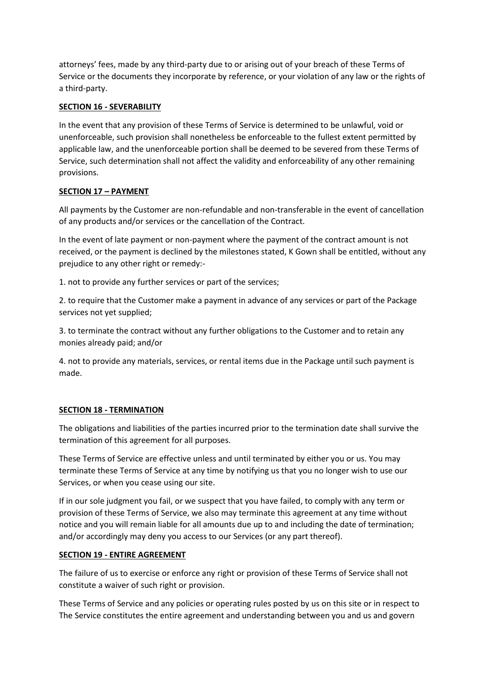attorneys' fees, made by any third-party due to or arising out of your breach of these Terms of Service or the documents they incorporate by reference, or your violation of any law or the rights of a third-party.

## **SECTION 16 - SEVERABILITY**

In the event that any provision of these Terms of Service is determined to be unlawful, void or unenforceable, such provision shall nonetheless be enforceable to the fullest extent permitted by applicable law, and the unenforceable portion shall be deemed to be severed from these Terms of Service, such determination shall not affect the validity and enforceability of any other remaining provisions.

## **SECTION 17 – PAYMENT**

All payments by the Customer are non-refundable and non-transferable in the event of cancellation of any products and/or services or the cancellation of the Contract.

In the event of late payment or non-payment where the payment of the contract amount is not received, or the payment is declined by the milestones stated, K Gown shall be entitled, without any prejudice to any other right or remedy:-

1. not to provide any further services or part of the services;

2. to require that the Customer make a payment in advance of any services or part of the Package services not yet supplied;

3. to terminate the contract without any further obligations to the Customer and to retain any monies already paid; and/or

4. not to provide any materials, services, or rental items due in the Package until such payment is made.

# **SECTION 18 - TERMINATION**

The obligations and liabilities of the parties incurred prior to the termination date shall survive the termination of this agreement for all purposes.

These Terms of Service are effective unless and until terminated by either you or us. You may terminate these Terms of Service at any time by notifying us that you no longer wish to use our Services, or when you cease using our site.

If in our sole judgment you fail, or we suspect that you have failed, to comply with any term or provision of these Terms of Service, we also may terminate this agreement at any time without notice and you will remain liable for all amounts due up to and including the date of termination; and/or accordingly may deny you access to our Services (or any part thereof).

#### **SECTION 19 - ENTIRE AGREEMENT**

The failure of us to exercise or enforce any right or provision of these Terms of Service shall not constitute a waiver of such right or provision.

These Terms of Service and any policies or operating rules posted by us on this site or in respect to The Service constitutes the entire agreement and understanding between you and us and govern